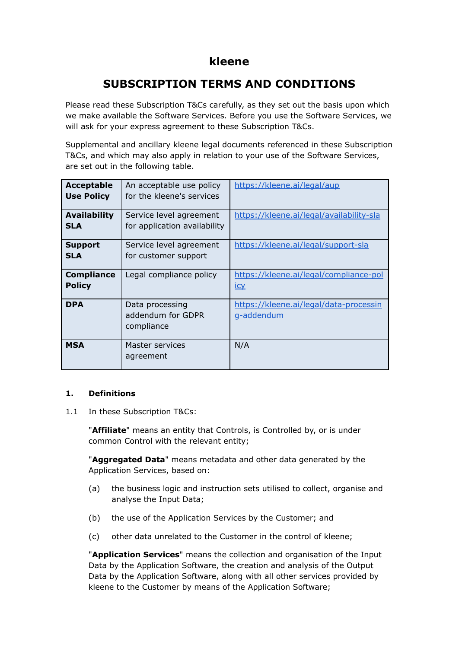# **kleene**

# **SUBSCRIPTION TERMS AND CONDITIONS**

Please read these Subscription T&Cs carefully, as they set out the basis upon which we make available the Software Services. Before you use the Software Services, we will ask for your express agreement to these Subscription T&Cs.

Supplemental and ancillary kleene legal documents referenced in these Subscription T&Cs, and which may also apply in relation to your use of the Software Services, are set out in the following table.

| <b>Acceptable</b><br><b>Use Policy</b> | An acceptable use policy<br>for the kleene's services   | https://kleene.ai/legal/aup                          |
|----------------------------------------|---------------------------------------------------------|------------------------------------------------------|
| <b>Availability</b><br><b>SLA</b>      | Service level agreement<br>for application availability | https://kleene.ai/legal/availability-sla             |
| <b>Support</b><br><b>SLA</b>           | Service level agreement<br>for customer support         | https://kleene.ai/legal/support-sla                  |
| <b>Compliance</b><br><b>Policy</b>     | Legal compliance policy                                 | https://kleene.ai/legal/compliance-pol<br><u>icy</u> |
| <b>DPA</b>                             | Data processing<br>addendum for GDPR<br>compliance      | https://kleene.ai/legal/data-processin<br>g-addendum |
| <b>MSA</b>                             | Master services<br>agreement                            | N/A                                                  |

# **1. Definitions**

1.1 In these Subscription T&Cs:

"**Affiliate**" means an entity that Controls, is Controlled by, or is under common Control with the relevant entity;

"**Aggregated Data**" means metadata and other data generated by the Application Services, based on:

- (a) the business logic and instruction sets utilised to collect, organise and analyse the Input Data;
- (b) the use of the Application Services by the Customer; and
- (c) other data unrelated to the Customer in the control of kleene;

"**Application Services**" means the collection and organisation of the Input Data by the Application Software, the creation and analysis of the Output Data by the Application Software, along with all other services provided by kleene to the Customer by means of the Application Software;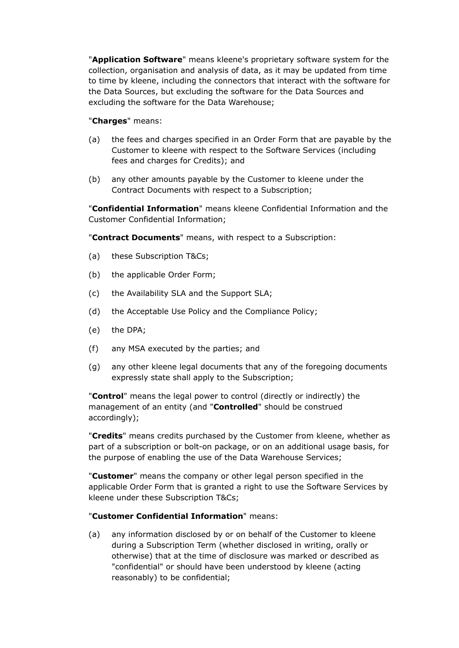"**Application Software**" means kleene's proprietary software system for the collection, organisation and analysis of data, as it may be updated from time to time by kleene, including the connectors that interact with the software for the Data Sources, but excluding the software for the Data Sources and excluding the software for the Data Warehouse;

# "**Charges**" means:

- (a) the fees and charges specified in an Order Form that are payable by the Customer to kleene with respect to the Software Services (including fees and charges for Credits); and
- (b) any other amounts payable by the Customer to kleene under the Contract Documents with respect to a Subscription;

"**Confidential Information**" means kleene Confidential Information and the Customer Confidential Information;

"**Contract Documents**" means, with respect to a Subscription:

- (a) these Subscription T&Cs;
- (b) the applicable Order Form;
- (c) the Availability SLA and the Support SLA;
- (d) the Acceptable Use Policy and the Compliance Policy;
- (e) the DPA;
- (f) any MSA executed by the parties; and
- (g) any other kleene legal documents that any of the foregoing documents expressly state shall apply to the Subscription;

"**Control**" means the legal power to control (directly or indirectly) the management of an entity (and "**Controlled**" should be construed accordingly);

"**Credits**" means credits purchased by the Customer from kleene, whether as part of a subscription or bolt-on package, or on an additional usage basis, for the purpose of enabling the use of the Data Warehouse Services;

"**Customer**" means the company or other legal person specified in the applicable Order Form that is granted a right to use the Software Services by kleene under these Subscription T&Cs;

### "**Customer Confidential Information**" means:

(a) any information disclosed by or on behalf of the Customer to kleene during a Subscription Term (whether disclosed in writing, orally or otherwise) that at the time of disclosure was marked or described as "confidential" or should have been understood by kleene (acting reasonably) to be confidential;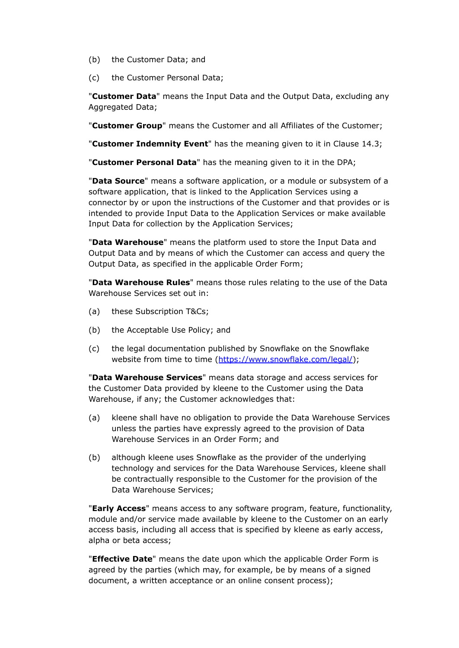- (b) the Customer Data; and
- (c) the Customer Personal Data;

"**Customer Data**" means the Input Data and the Output Data, excluding any Aggregated Data;

"**Customer Group**" means the Customer and all Affiliates of the Customer;

"**Customer Indemnity Event**" has the meaning given to it in Clause 14.3;

"**Customer Personal Data**" has the meaning given to it in the DPA;

"**Data Source**" means a software application, or a module or subsystem of a software application, that is linked to the Application Services using a connector by or upon the instructions of the Customer and that provides or is intended to provide Input Data to the Application Services or make available Input Data for collection by the Application Services;

"**Data Warehouse**" means the platform used to store the Input Data and Output Data and by means of which the Customer can access and query the Output Data, as specified in the applicable Order Form;

"**Data Warehouse Rules**" means those rules relating to the use of the Data Warehouse Services set out in:

- (a) these Subscription T&Cs;
- (b) the Acceptable Use Policy; and
- (c) the legal documentation published by Snowflake on the Snowflake website from time to time ([https://www.snowflake.com/legal/\)](https://www.snowflake.com/legal/);

"**Data Warehouse Services**" means data storage and access services for the Customer Data provided by kleene to the Customer using the Data Warehouse, if any; the Customer acknowledges that:

- (a) kleene shall have no obligation to provide the Data Warehouse Services unless the parties have expressly agreed to the provision of Data Warehouse Services in an Order Form; and
- (b) although kleene uses Snowflake as the provider of the underlying technology and services for the Data Warehouse Services, kleene shall be contractually responsible to the Customer for the provision of the Data Warehouse Services;

"**Early Access**" means access to any software program, feature, functionality, module and/or service made available by kleene to the Customer on an early access basis, including all access that is specified by kleene as early access, alpha or beta access;

"**Effective Date**" means the date upon which the applicable Order Form is agreed by the parties (which may, for example, be by means of a signed document, a written acceptance or an online consent process);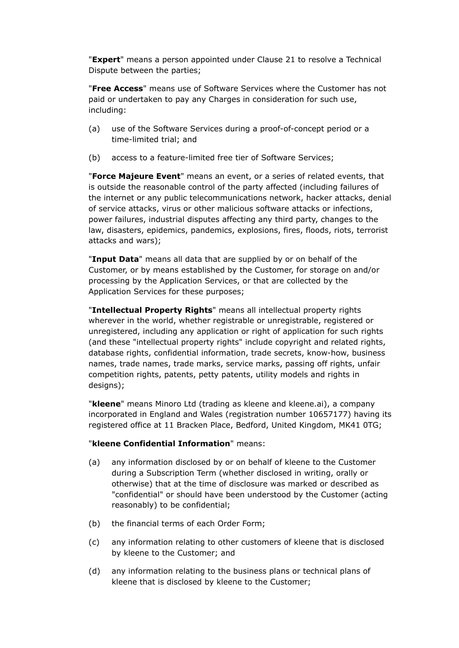"**Expert**" means a person appointed under Clause 21 to resolve a Technical Dispute between the parties;

"**Free Access**" means use of Software Services where the Customer has not paid or undertaken to pay any Charges in consideration for such use, including:

- (a) use of the Software Services during a proof-of-concept period or a time-limited trial; and
- (b) access to a feature-limited free tier of Software Services;

"**Force Majeure Event**" means an event, or a series of related events, that is outside the reasonable control of the party affected (including failures of the internet or any public telecommunications network, hacker attacks, denial of service attacks, virus or other malicious software attacks or infections, power failures, industrial disputes affecting any third party, changes to the law, disasters, epidemics, pandemics, explosions, fires, floods, riots, terrorist attacks and wars);

"**Input Data**" means all data that are supplied by or on behalf of the Customer, or by means established by the Customer, for storage on and/or processing by the Application Services, or that are collected by the Application Services for these purposes;

"**Intellectual Property Rights**" means all intellectual property rights wherever in the world, whether registrable or unregistrable, registered or unregistered, including any application or right of application for such rights (and these "intellectual property rights" include copyright and related rights, database rights, confidential information, trade secrets, know-how, business names, trade names, trade marks, service marks, passing off rights, unfair competition rights, patents, petty patents, utility models and rights in designs);

"**kleene**" means Minoro Ltd (trading as kleene and kleene.ai), a company incorporated in England and Wales (registration number 10657177) having its registered office at 11 Bracken Place, Bedford, United Kingdom, MK41 0TG;

# "**kleene Confidential Information**" means:

- (a) any information disclosed by or on behalf of kleene to the Customer during a Subscription Term (whether disclosed in writing, orally or otherwise) that at the time of disclosure was marked or described as "confidential" or should have been understood by the Customer (acting reasonably) to be confidential;
- (b) the financial terms of each Order Form;
- (c) any information relating to other customers of kleene that is disclosed by kleene to the Customer; and
- (d) any information relating to the business plans or technical plans of kleene that is disclosed by kleene to the Customer;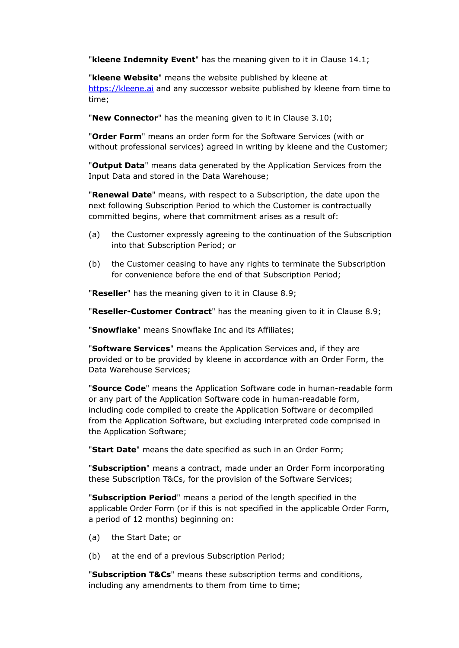"**kleene Indemnity Event**" has the meaning given to it in Clause 14.1;

"**kleene Website**" means the website published by kleene at <https://kleene.ai> and any successor website published by kleene from time to time;

"**New Connector**" has the meaning given to it in Clause 3.10;

"**Order Form**" means an order form for the Software Services (with or without professional services) agreed in writing by kleene and the Customer;

"**Output Data**" means data generated by the Application Services from the Input Data and stored in the Data Warehouse;

"**Renewal Date**" means, with respect to a Subscription, the date upon the next following Subscription Period to which the Customer is contractually committed begins, where that commitment arises as a result of:

- (a) the Customer expressly agreeing to the continuation of the Subscription into that Subscription Period; or
- (b) the Customer ceasing to have any rights to terminate the Subscription for convenience before the end of that Subscription Period;

"**Reseller**" has the meaning given to it in Clause 8.9;

"**Reseller-Customer Contract**" has the meaning given to it in Clause 8.9;

"**Snowflake**" means Snowflake Inc and its Affiliates;

"**Software Services**" means the Application Services and, if they are provided or to be provided by kleene in accordance with an Order Form, the Data Warehouse Services;

"**Source Code**" means the Application Software code in human-readable form or any part of the Application Software code in human-readable form, including code compiled to create the Application Software or decompiled from the Application Software, but excluding interpreted code comprised in the Application Software;

"**Start Date**" means the date specified as such in an Order Form;

"**Subscription**" means a contract, made under an Order Form incorporating these Subscription T&Cs, for the provision of the Software Services;

"**Subscription Period**" means a period of the length specified in the applicable Order Form (or if this is not specified in the applicable Order Form, a period of 12 months) beginning on:

- (a) the Start Date; or
- (b) at the end of a previous Subscription Period;

"**Subscription T&Cs**" means these subscription terms and conditions, including any amendments to them from time to time: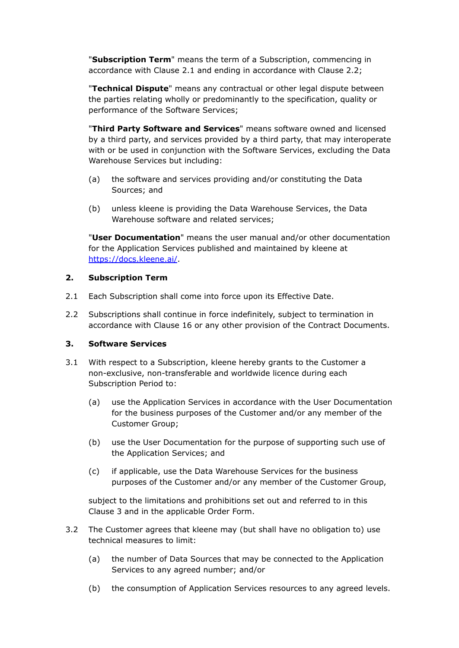"**Subscription Term**" means the term of a Subscription, commencing in accordance with Clause 2.1 and ending in accordance with Clause 2.2;

"**Technical Dispute**" means any contractual or other legal dispute between the parties relating wholly or predominantly to the specification, quality or performance of the Software Services;

"**Third Party Software and Services**" means software owned and licensed by a third party, and services provided by a third party, that may interoperate with or be used in conjunction with the Software Services, excluding the Data Warehouse Services but including:

- (a) the software and services providing and/or constituting the Data Sources; and
- (b) unless kleene is providing the Data Warehouse Services, the Data Warehouse software and related services;

"**User Documentation**" means the user manual and/or other documentation for the Application Services published and maintained by kleene at <https://docs.kleene.ai/>.

# **2. Subscription Term**

- 2.1 Each Subscription shall come into force upon its Effective Date.
- 2.2 Subscriptions shall continue in force indefinitely, subject to termination in accordance with Clause 16 or any other provision of the Contract Documents.

# **3. Software Services**

- 3.1 With respect to a Subscription, kleene hereby grants to the Customer a non-exclusive, non-transferable and worldwide licence during each Subscription Period to:
	- (a) use the Application Services in accordance with the User Documentation for the business purposes of the Customer and/or any member of the Customer Group;
	- (b) use the User Documentation for the purpose of supporting such use of the Application Services; and
	- (c) if applicable, use the Data Warehouse Services for the business purposes of the Customer and/or any member of the Customer Group,

subject to the limitations and prohibitions set out and referred to in this Clause 3 and in the applicable Order Form.

- 3.2 The Customer agrees that kleene may (but shall have no obligation to) use technical measures to limit:
	- (a) the number of Data Sources that may be connected to the Application Services to any agreed number; and/or
	- (b) the consumption of Application Services resources to any agreed levels.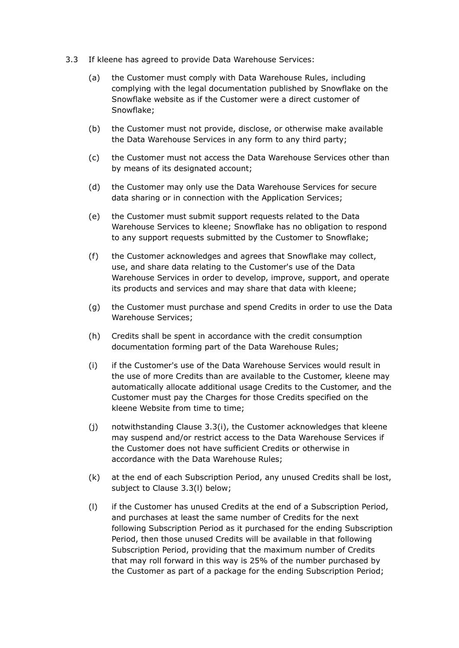- 3.3 If kleene has agreed to provide Data Warehouse Services:
	- (a) the Customer must comply with Data Warehouse Rules, including complying with the legal documentation published by Snowflake on the Snowflake website as if the Customer were a direct customer of Snowflake;
	- (b) the Customer must not provide, disclose, or otherwise make available the Data Warehouse Services in any form to any third party;
	- (c) the Customer must not access the Data Warehouse Services other than by means of its designated account;
	- (d) the Customer may only use the Data Warehouse Services for secure data sharing or in connection with the Application Services;
	- (e) the Customer must submit support requests related to the Data Warehouse Services to kleene; Snowflake has no obligation to respond to any support requests submitted by the Customer to Snowflake;
	- (f) the Customer acknowledges and agrees that Snowflake may collect, use, and share data relating to the Customer's use of the Data Warehouse Services in order to develop, improve, support, and operate its products and services and may share that data with kleene;
	- (g) the Customer must purchase and spend Credits in order to use the Data Warehouse Services;
	- (h) Credits shall be spent in accordance with the credit consumption documentation forming part of the Data Warehouse Rules;
	- (i) if the Customer's use of the Data Warehouse Services would result in the use of more Credits than are available to the Customer, kleene may automatically allocate additional usage Credits to the Customer, and the Customer must pay the Charges for those Credits specified on the kleene Website from time to time;
	- (j) notwithstanding Clause 3.3(i), the Customer acknowledges that kleene may suspend and/or restrict access to the Data Warehouse Services if the Customer does not have sufficient Credits or otherwise in accordance with the Data Warehouse Rules;
	- (k) at the end of each Subscription Period, any unused Credits shall be lost, subject to Clause 3.3(l) below;
	- (l) if the Customer has unused Credits at the end of a Subscription Period, and purchases at least the same number of Credits for the next following Subscription Period as it purchased for the ending Subscription Period, then those unused Credits will be available in that following Subscription Period, providing that the maximum number of Credits that may roll forward in this way is 25% of the number purchased by the Customer as part of a package for the ending Subscription Period;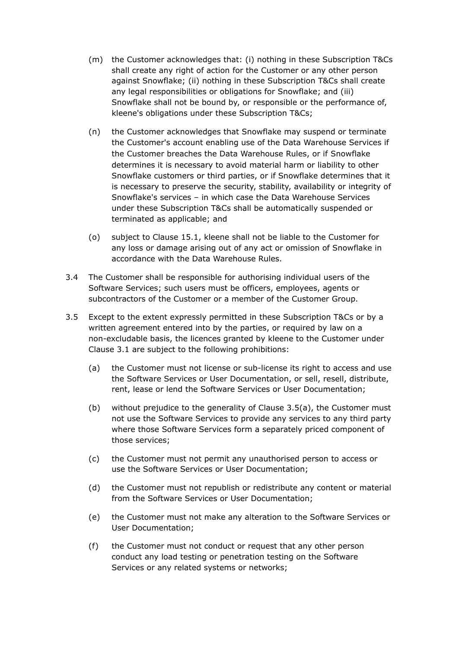- (m) the Customer acknowledges that: (i) nothing in these Subscription T&Cs shall create any right of action for the Customer or any other person against Snowflake; (ii) nothing in these Subscription T&Cs shall create any legal responsibilities or obligations for Snowflake; and (iii) Snowflake shall not be bound by, or responsible or the performance of, kleene's obligations under these Subscription T&Cs;
- (n) the Customer acknowledges that Snowflake may suspend or terminate the Customer's account enabling use of the Data Warehouse Services if the Customer breaches the Data Warehouse Rules, or if Snowflake determines it is necessary to avoid material harm or liability to other Snowflake customers or third parties, or if Snowflake determines that it is necessary to preserve the security, stability, availability or integrity of Snowflake's services – in which case the Data Warehouse Services under these Subscription T&Cs shall be automatically suspended or terminated as applicable; and
- (o) subject to Clause 15.1, kleene shall not be liable to the Customer for any loss or damage arising out of any act or omission of Snowflake in accordance with the Data Warehouse Rules.
- 3.4 The Customer shall be responsible for authorising individual users of the Software Services; such users must be officers, employees, agents or subcontractors of the Customer or a member of the Customer Group.
- 3.5 Except to the extent expressly permitted in these Subscription T&Cs or by a written agreement entered into by the parties, or required by law on a non-excludable basis, the licences granted by kleene to the Customer under Clause 3.1 are subject to the following prohibitions:
	- (a) the Customer must not license or sub-license its right to access and use the Software Services or User Documentation, or sell, resell, distribute, rent, lease or lend the Software Services or User Documentation;
	- (b) without prejudice to the generality of Clause 3.5(a), the Customer must not use the Software Services to provide any services to any third party where those Software Services form a separately priced component of those services;
	- (c) the Customer must not permit any unauthorised person to access or use the Software Services or User Documentation;
	- (d) the Customer must not republish or redistribute any content or material from the Software Services or User Documentation;
	- (e) the Customer must not make any alteration to the Software Services or User Documentation;
	- (f) the Customer must not conduct or request that any other person conduct any load testing or penetration testing on the Software Services or any related systems or networks;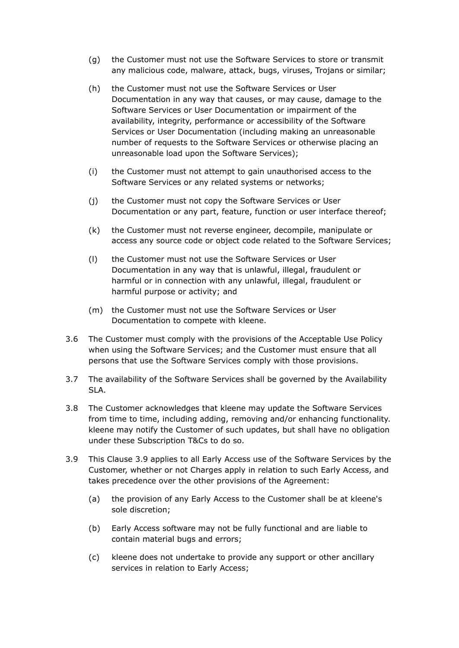- (g) the Customer must not use the Software Services to store or transmit any malicious code, malware, attack, bugs, viruses, Trojans or similar;
- (h) the Customer must not use the Software Services or User Documentation in any way that causes, or may cause, damage to the Software Services or User Documentation or impairment of the availability, integrity, performance or accessibility of the Software Services or User Documentation (including making an unreasonable number of requests to the Software Services or otherwise placing an unreasonable load upon the Software Services);
- (i) the Customer must not attempt to gain unauthorised access to the Software Services or any related systems or networks;
- (j) the Customer must not copy the Software Services or User Documentation or any part, feature, function or user interface thereof;
- (k) the Customer must not reverse engineer, decompile, manipulate or access any source code or object code related to the Software Services;
- (l) the Customer must not use the Software Services or User Documentation in any way that is unlawful, illegal, fraudulent or harmful or in connection with any unlawful, illegal, fraudulent or harmful purpose or activity; and
- (m) the Customer must not use the Software Services or User Documentation to compete with kleene.
- 3.6 The Customer must comply with the provisions of the Acceptable Use Policy when using the Software Services; and the Customer must ensure that all persons that use the Software Services comply with those provisions.
- 3.7 The availability of the Software Services shall be governed by the Availability SLA.
- 3.8 The Customer acknowledges that kleene may update the Software Services from time to time, including adding, removing and/or enhancing functionality. kleene may notify the Customer of such updates, but shall have no obligation under these Subscription T&Cs to do so.
- 3.9 This Clause 3.9 applies to all Early Access use of the Software Services by the Customer, whether or not Charges apply in relation to such Early Access, and takes precedence over the other provisions of the Agreement:
	- (a) the provision of any Early Access to the Customer shall be at kleene's sole discretion;
	- (b) Early Access software may not be fully functional and are liable to contain material bugs and errors;
	- (c) kleene does not undertake to provide any support or other ancillary services in relation to Early Access;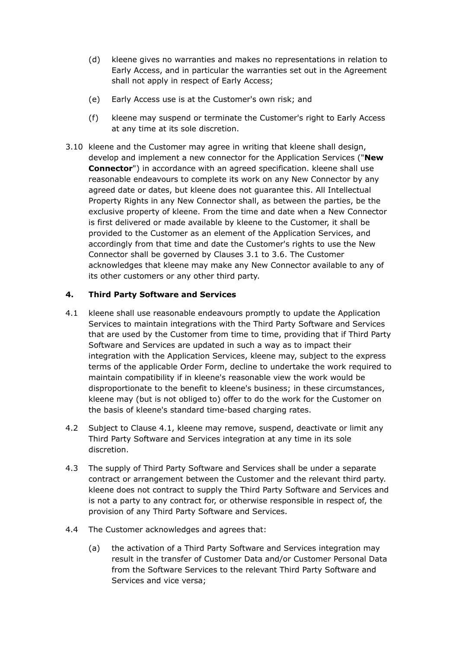- (d) kleene gives no warranties and makes no representations in relation to Early Access, and in particular the warranties set out in the Agreement shall not apply in respect of Early Access;
- (e) Early Access use is at the Customer's own risk; and
- (f) kleene may suspend or terminate the Customer's right to Early Access at any time at its sole discretion.
- 3.10 kleene and the Customer may agree in writing that kleene shall design, develop and implement a new connector for the Application Services ("**New Connector**") in accordance with an agreed specification. kleene shall use reasonable endeavours to complete its work on any New Connector by any agreed date or dates, but kleene does not guarantee this. All Intellectual Property Rights in any New Connector shall, as between the parties, be the exclusive property of kleene. From the time and date when a New Connector is first delivered or made available by kleene to the Customer, it shall be provided to the Customer as an element of the Application Services, and accordingly from that time and date the Customer's rights to use the New Connector shall be governed by Clauses 3.1 to 3.6. The Customer acknowledges that kleene may make any New Connector available to any of its other customers or any other third party.

# **4. Third Party Software and Services**

- 4.1 kleene shall use reasonable endeavours promptly to update the Application Services to maintain integrations with the Third Party Software and Services that are used by the Customer from time to time, providing that if Third Party Software and Services are updated in such a way as to impact their integration with the Application Services, kleene may, subject to the express terms of the applicable Order Form, decline to undertake the work required to maintain compatibility if in kleene's reasonable view the work would be disproportionate to the benefit to kleene's business; in these circumstances, kleene may (but is not obliged to) offer to do the work for the Customer on the basis of kleene's standard time-based charging rates.
- 4.2 Subject to Clause 4.1, kleene may remove, suspend, deactivate or limit any Third Party Software and Services integration at any time in its sole discretion.
- 4.3 The supply of Third Party Software and Services shall be under a separate contract or arrangement between the Customer and the relevant third party. kleene does not contract to supply the Third Party Software and Services and is not a party to any contract for, or otherwise responsible in respect of, the provision of any Third Party Software and Services.
- 4.4 The Customer acknowledges and agrees that:
	- (a) the activation of a Third Party Software and Services integration may result in the transfer of Customer Data and/or Customer Personal Data from the Software Services to the relevant Third Party Software and Services and vice versa;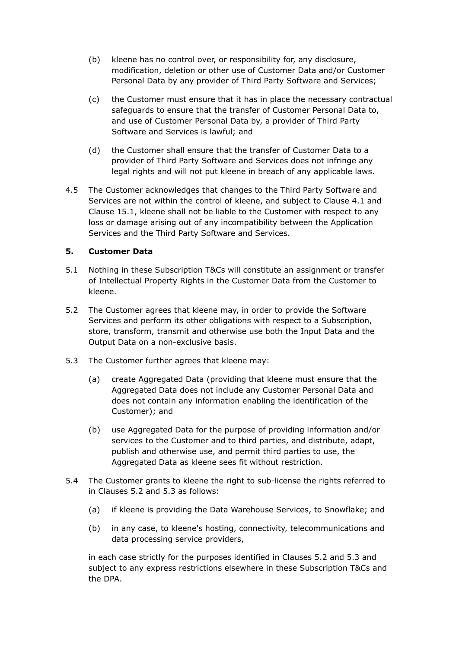- (b) kleene has no control over, or responsibility for, any disclosure, modification, deletion or other use of Customer Data and/or Customer Personal Data by any provider of Third Party Software and Services;
- (c) the Customer must ensure that it has in place the necessary contractual safeguards to ensure that the transfer of Customer Personal Data to, and use of Customer Personal Data by, a provider of Third Party Software and Services is lawful; and
- (d) the Customer shall ensure that the transfer of Customer Data to a provider of Third Party Software and Services does not infringe any legal rights and will not put kleene in breach of any applicable laws.
- 4.5 The Customer acknowledges that changes to the Third Party Software and Services are not within the control of kleene, and subject to Clause 4.1 and Clause 15.1, kleene shall not be liable to the Customer with respect to any loss or damage arising out of any incompatibility between the Application Services and the Third Party Software and Services.

# **5. Customer Data**

- 5.1 Nothing in these Subscription T&Cs will constitute an assignment or transfer of Intellectual Property Rights in the Customer Data from the Customer to kleene.
- 5.2 The Customer agrees that kleene may, in order to provide the Software Services and perform its other obligations with respect to a Subscription, store, transform, transmit and otherwise use both the Input Data and the Output Data on a non-exclusive basis.
- 5.3 The Customer further agrees that kleene may:
	- (a) create Aggregated Data (providing that kleene must ensure that the Aggregated Data does not include any Customer Personal Data and does not contain any information enabling the identification of the Customer); and
	- (b) use Aggregated Data for the purpose of providing information and/or services to the Customer and to third parties, and distribute, adapt, publish and otherwise use, and permit third parties to use, the Aggregated Data as kleene sees fit without restriction.
- 5.4 The Customer grants to kleene the right to sub-license the rights referred to in Clauses 5.2 and 5.3 as follows:
	- (a) if kleene is providing the Data Warehouse Services, to Snowflake; and
	- (b) in any case, to kleene's hosting, connectivity, telecommunications and data processing service providers,

in each case strictly for the purposes identified in Clauses 5.2 and 5.3 and subject to any express restrictions elsewhere in these Subscription T&Cs and the DPA.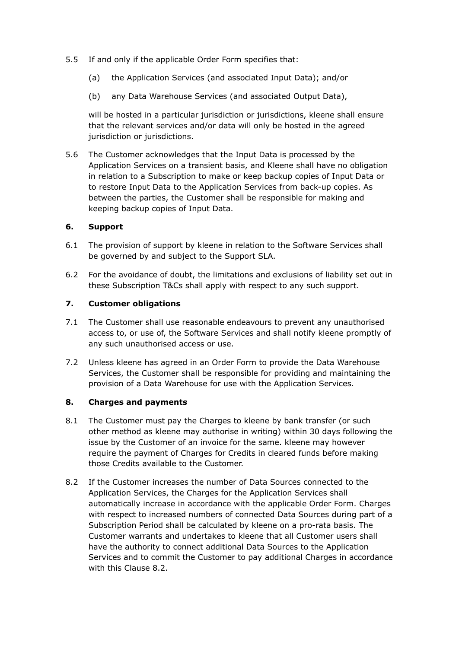- 5.5 If and only if the applicable Order Form specifies that:
	- (a) the Application Services (and associated Input Data); and/or
	- (b) any Data Warehouse Services (and associated Output Data),

will be hosted in a particular jurisdiction or jurisdictions, kleene shall ensure that the relevant services and/or data will only be hosted in the agreed jurisdiction or jurisdictions.

5.6 The Customer acknowledges that the Input Data is processed by the Application Services on a transient basis, and Kleene shall have no obligation in relation to a Subscription to make or keep backup copies of Input Data or to restore Input Data to the Application Services from back-up copies. As between the parties, the Customer shall be responsible for making and keeping backup copies of Input Data.

### **6. Support**

- 6.1 The provision of support by kleene in relation to the Software Services shall be governed by and subject to the Support SLA.
- 6.2 For the avoidance of doubt, the limitations and exclusions of liability set out in these Subscription T&Cs shall apply with respect to any such support.

### **7. Customer obligations**

- 7.1 The Customer shall use reasonable endeavours to prevent any unauthorised access to, or use of, the Software Services and shall notify kleene promptly of any such unauthorised access or use.
- 7.2 Unless kleene has agreed in an Order Form to provide the Data Warehouse Services, the Customer shall be responsible for providing and maintaining the provision of a Data Warehouse for use with the Application Services.

### **8. Charges and payments**

- 8.1 The Customer must pay the Charges to kleene by bank transfer (or such other method as kleene may authorise in writing) within 30 days following the issue by the Customer of an invoice for the same. kleene may however require the payment of Charges for Credits in cleared funds before making those Credits available to the Customer.
- 8.2 If the Customer increases the number of Data Sources connected to the Application Services, the Charges for the Application Services shall automatically increase in accordance with the applicable Order Form. Charges with respect to increased numbers of connected Data Sources during part of a Subscription Period shall be calculated by kleene on a pro-rata basis. The Customer warrants and undertakes to kleene that all Customer users shall have the authority to connect additional Data Sources to the Application Services and to commit the Customer to pay additional Charges in accordance with this Clause 8.2.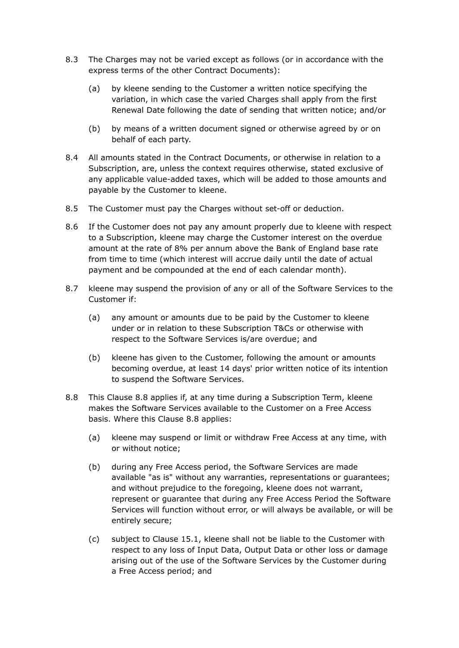- 8.3 The Charges may not be varied except as follows (or in accordance with the express terms of the other Contract Documents):
	- (a) by kleene sending to the Customer a written notice specifying the variation, in which case the varied Charges shall apply from the first Renewal Date following the date of sending that written notice; and/or
	- (b) by means of a written document signed or otherwise agreed by or on behalf of each party.
- 8.4 All amounts stated in the Contract Documents, or otherwise in relation to a Subscription, are, unless the context requires otherwise, stated exclusive of any applicable value-added taxes, which will be added to those amounts and payable by the Customer to kleene.
- 8.5 The Customer must pay the Charges without set-off or deduction.
- 8.6 If the Customer does not pay any amount properly due to kleene with respect to a Subscription, kleene may charge the Customer interest on the overdue amount at the rate of 8% per annum above the Bank of England base rate from time to time (which interest will accrue daily until the date of actual payment and be compounded at the end of each calendar month).
- 8.7 kleene may suspend the provision of any or all of the Software Services to the Customer if:
	- (a) any amount or amounts due to be paid by the Customer to kleene under or in relation to these Subscription T&Cs or otherwise with respect to the Software Services is/are overdue; and
	- (b) kleene has given to the Customer, following the amount or amounts becoming overdue, at least 14 days' prior written notice of its intention to suspend the Software Services.
- 8.8 This Clause 8.8 applies if, at any time during a Subscription Term, kleene makes the Software Services available to the Customer on a Free Access basis. Where this Clause 8.8 applies:
	- (a) kleene may suspend or limit or withdraw Free Access at any time, with or without notice;
	- (b) during any Free Access period, the Software Services are made available "as is" without any warranties, representations or guarantees; and without prejudice to the foregoing, kleene does not warrant, represent or guarantee that during any Free Access Period the Software Services will function without error, or will always be available, or will be entirely secure;
	- (c) subject to Clause 15.1, kleene shall not be liable to the Customer with respect to any loss of Input Data, Output Data or other loss or damage arising out of the use of the Software Services by the Customer during a Free Access period; and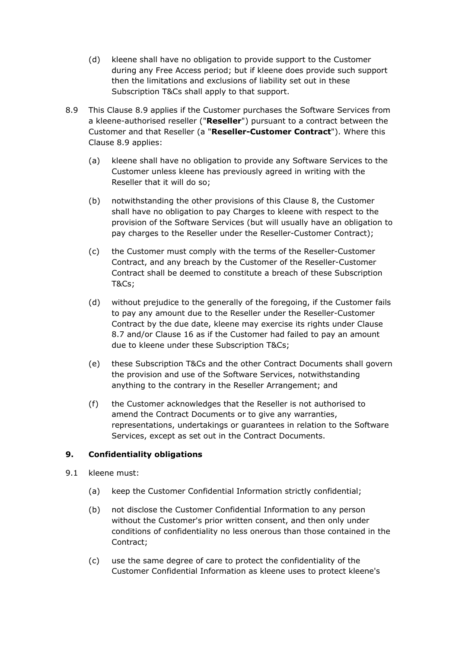- (d) kleene shall have no obligation to provide support to the Customer during any Free Access period; but if kleene does provide such support then the limitations and exclusions of liability set out in these Subscription T&Cs shall apply to that support.
- 8.9 This Clause 8.9 applies if the Customer purchases the Software Services from a kleene-authorised reseller ("**Reseller**") pursuant to a contract between the Customer and that Reseller (a "**Reseller-Customer Contract**"). Where this Clause 8.9 applies:
	- (a) kleene shall have no obligation to provide any Software Services to the Customer unless kleene has previously agreed in writing with the Reseller that it will do so;
	- (b) notwithstanding the other provisions of this Clause 8, the Customer shall have no obligation to pay Charges to kleene with respect to the provision of the Software Services (but will usually have an obligation to pay charges to the Reseller under the Reseller-Customer Contract);
	- (c) the Customer must comply with the terms of the Reseller-Customer Contract, and any breach by the Customer of the Reseller-Customer Contract shall be deemed to constitute a breach of these Subscription T&Cs;
	- (d) without prejudice to the generally of the foregoing, if the Customer fails to pay any amount due to the Reseller under the Reseller-Customer Contract by the due date, kleene may exercise its rights under Clause 8.7 and/or Clause 16 as if the Customer had failed to pay an amount due to kleene under these Subscription T&Cs;
	- (e) these Subscription T&Cs and the other Contract Documents shall govern the provision and use of the Software Services, notwithstanding anything to the contrary in the Reseller Arrangement; and
	- (f) the Customer acknowledges that the Reseller is not authorised to amend the Contract Documents or to give any warranties, representations, undertakings or guarantees in relation to the Software Services, except as set out in the Contract Documents.

# **9. Confidentiality obligations**

- 9.1 kleene must:
	- (a) keep the Customer Confidential Information strictly confidential;
	- (b) not disclose the Customer Confidential Information to any person without the Customer's prior written consent, and then only under conditions of confidentiality no less onerous than those contained in the Contract;
	- (c) use the same degree of care to protect the confidentiality of the Customer Confidential Information as kleene uses to protect kleene's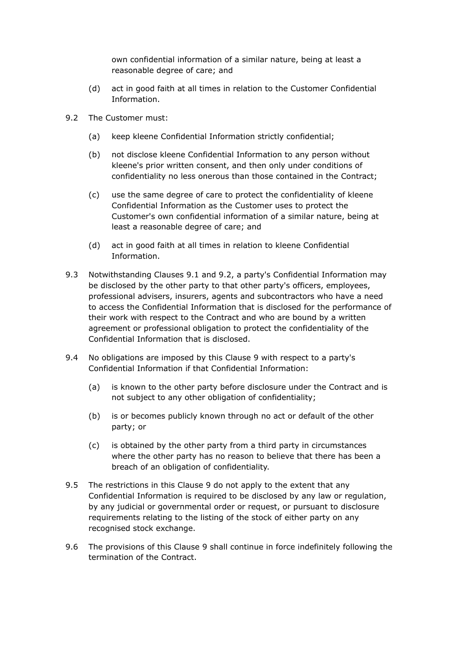own confidential information of a similar nature, being at least a reasonable degree of care; and

- (d) act in good faith at all times in relation to the Customer Confidential Information.
- 9.2 The Customer must:
	- (a) keep kleene Confidential Information strictly confidential;
	- (b) not disclose kleene Confidential Information to any person without kleene's prior written consent, and then only under conditions of confidentiality no less onerous than those contained in the Contract;
	- (c) use the same degree of care to protect the confidentiality of kleene Confidential Information as the Customer uses to protect the Customer's own confidential information of a similar nature, being at least a reasonable degree of care; and
	- (d) act in good faith at all times in relation to kleene Confidential Information.
- 9.3 Notwithstanding Clauses 9.1 and 9.2, a party's Confidential Information may be disclosed by the other party to that other party's officers, employees, professional advisers, insurers, agents and subcontractors who have a need to access the Confidential Information that is disclosed for the performance of their work with respect to the Contract and who are bound by a written agreement or professional obligation to protect the confidentiality of the Confidential Information that is disclosed.
- 9.4 No obligations are imposed by this Clause 9 with respect to a party's Confidential Information if that Confidential Information:
	- (a) is known to the other party before disclosure under the Contract and is not subject to any other obligation of confidentiality;
	- (b) is or becomes publicly known through no act or default of the other party; or
	- (c) is obtained by the other party from a third party in circumstances where the other party has no reason to believe that there has been a breach of an obligation of confidentiality.
- 9.5 The restrictions in this Clause 9 do not apply to the extent that any Confidential Information is required to be disclosed by any law or regulation, by any judicial or governmental order or request, or pursuant to disclosure requirements relating to the listing of the stock of either party on any recognised stock exchange.
- 9.6 The provisions of this Clause 9 shall continue in force indefinitely following the termination of the Contract.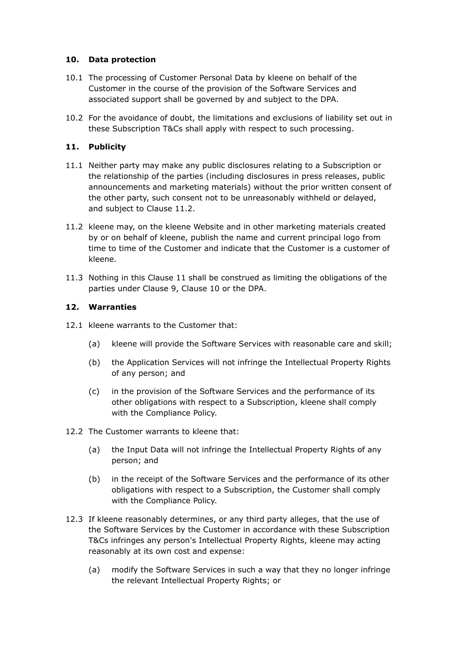# **10. Data protection**

- 10.1 The processing of Customer Personal Data by kleene on behalf of the Customer in the course of the provision of the Software Services and associated support shall be governed by and subject to the DPA.
- 10.2 For the avoidance of doubt, the limitations and exclusions of liability set out in these Subscription T&Cs shall apply with respect to such processing.

# **11. Publicity**

- 11.1 Neither party may make any public disclosures relating to a Subscription or the relationship of the parties (including disclosures in press releases, public announcements and marketing materials) without the prior written consent of the other party, such consent not to be unreasonably withheld or delayed, and subject to Clause 11.2.
- 11.2 kleene may, on the kleene Website and in other marketing materials created by or on behalf of kleene, publish the name and current principal logo from time to time of the Customer and indicate that the Customer is a customer of kleene.
- 11.3 Nothing in this Clause 11 shall be construed as limiting the obligations of the parties under Clause 9, Clause 10 or the DPA.

# **12. Warranties**

- 12.1 kleene warrants to the Customer that:
	- (a) kleene will provide the Software Services with reasonable care and skill;
	- (b) the Application Services will not infringe the Intellectual Property Rights of any person; and
	- (c) in the provision of the Software Services and the performance of its other obligations with respect to a Subscription, kleene shall comply with the Compliance Policy.
- 12.2 The Customer warrants to kleene that:
	- (a) the Input Data will not infringe the Intellectual Property Rights of any person; and
	- (b) in the receipt of the Software Services and the performance of its other obligations with respect to a Subscription, the Customer shall comply with the Compliance Policy.
- 12.3 If kleene reasonably determines, or any third party alleges, that the use of the Software Services by the Customer in accordance with these Subscription T&Cs infringes any person's Intellectual Property Rights, kleene may acting reasonably at its own cost and expense:
	- (a) modify the Software Services in such a way that they no longer infringe the relevant Intellectual Property Rights; or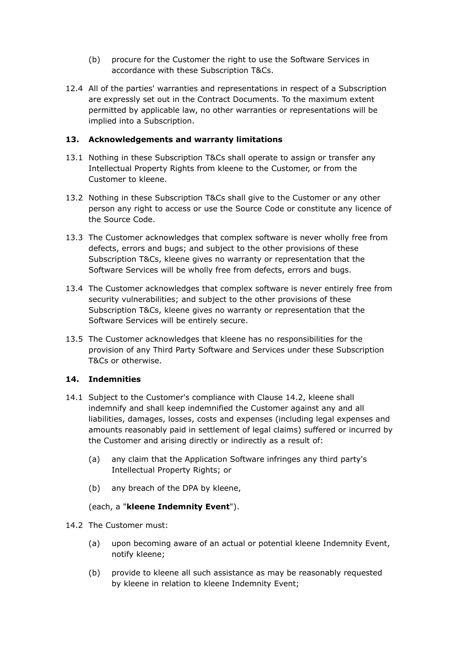- (b) procure for the Customer the right to use the Software Services in accordance with these Subscription T&Cs.
- 12.4 All of the parties' warranties and representations in respect of a Subscription are expressly set out in the Contract Documents. To the maximum extent permitted by applicable law, no other warranties or representations will be implied into a Subscription.

## **13. Acknowledgements and warranty limitations**

- 13.1 Nothing in these Subscription T&Cs shall operate to assign or transfer any Intellectual Property Rights from kleene to the Customer, or from the Customer to kleene.
- 13.2 Nothing in these Subscription T&Cs shall give to the Customer or any other person any right to access or use the Source Code or constitute any licence of the Source Code.
- 13.3 The Customer acknowledges that complex software is never wholly free from defects, errors and bugs; and subject to the other provisions of these Subscription T&Cs, kleene gives no warranty or representation that the Software Services will be wholly free from defects, errors and bugs.
- 13.4 The Customer acknowledges that complex software is never entirely free from security vulnerabilities; and subject to the other provisions of these Subscription T&Cs, kleene gives no warranty or representation that the Software Services will be entirely secure.
- 13.5 The Customer acknowledges that kleene has no responsibilities for the provision of any Third Party Software and Services under these Subscription T&Cs or otherwise.

# **14. Indemnities**

- 14.1 Subject to the Customer's compliance with Clause 14.2, kleene shall indemnify and shall keep indemnified the Customer against any and all liabilities, damages, losses, costs and expenses (including legal expenses and amounts reasonably paid in settlement of legal claims) suffered or incurred by the Customer and arising directly or indirectly as a result of:
	- (a) any claim that the Application Software infringes any third party's Intellectual Property Rights; or
	- (b) any breach of the DPA by kleene,

### (each, a "**kleene Indemnity Event**").

- 14.2 The Customer must:
	- (a) upon becoming aware of an actual or potential kleene Indemnity Event, notify kleene;
	- (b) provide to kleene all such assistance as may be reasonably requested by kleene in relation to kleene Indemnity Event;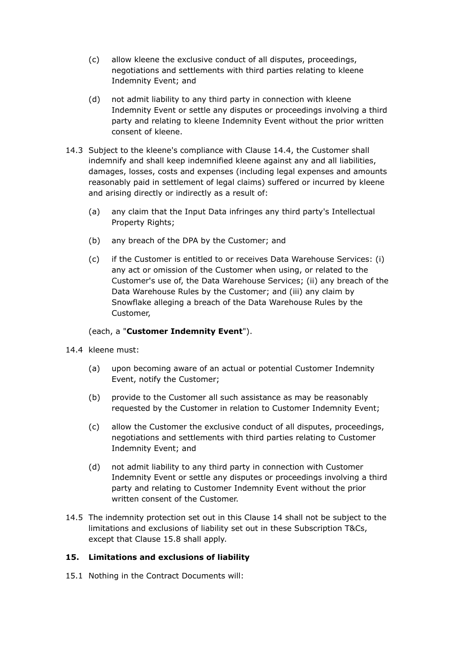- (c) allow kleene the exclusive conduct of all disputes, proceedings, negotiations and settlements with third parties relating to kleene Indemnity Event; and
- (d) not admit liability to any third party in connection with kleene Indemnity Event or settle any disputes or proceedings involving a third party and relating to kleene Indemnity Event without the prior written consent of kleene.
- 14.3 Subject to the kleene's compliance with Clause 14.4, the Customer shall indemnify and shall keep indemnified kleene against any and all liabilities, damages, losses, costs and expenses (including legal expenses and amounts reasonably paid in settlement of legal claims) suffered or incurred by kleene and arising directly or indirectly as a result of:
	- (a) any claim that the Input Data infringes any third party's Intellectual Property Rights;
	- (b) any breach of the DPA by the Customer; and
	- (c) if the Customer is entitled to or receives Data Warehouse Services: (i) any act or omission of the Customer when using, or related to the Customer's use of, the Data Warehouse Services; (ii) any breach of the Data Warehouse Rules by the Customer; and (iii) any claim by Snowflake alleging a breach of the Data Warehouse Rules by the Customer,

# (each, a "**Customer Indemnity Event**").

- 14.4 kleene must:
	- (a) upon becoming aware of an actual or potential Customer Indemnity Event, notify the Customer;
	- (b) provide to the Customer all such assistance as may be reasonably requested by the Customer in relation to Customer Indemnity Event;
	- (c) allow the Customer the exclusive conduct of all disputes, proceedings, negotiations and settlements with third parties relating to Customer Indemnity Event; and
	- (d) not admit liability to any third party in connection with Customer Indemnity Event or settle any disputes or proceedings involving a third party and relating to Customer Indemnity Event without the prior written consent of the Customer.
- 14.5 The indemnity protection set out in this Clause 14 shall not be subject to the limitations and exclusions of liability set out in these Subscription T&Cs, except that Clause 15.8 shall apply.

# **15. Limitations and exclusions of liability**

15.1 Nothing in the Contract Documents will: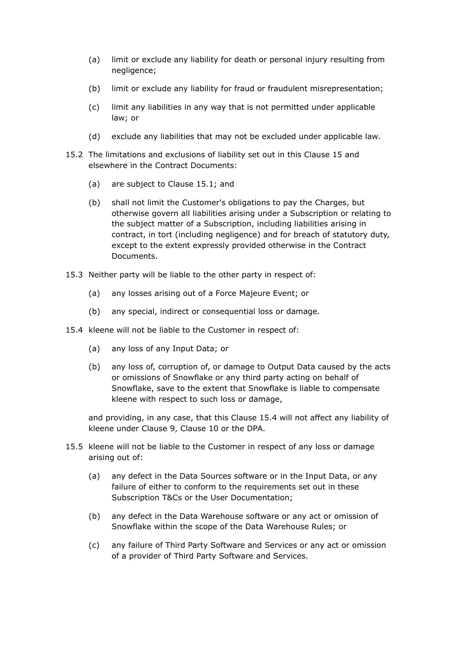- (a) limit or exclude any liability for death or personal injury resulting from negligence;
- (b) limit or exclude any liability for fraud or fraudulent misrepresentation;
- (c) limit any liabilities in any way that is not permitted under applicable law; or
- (d) exclude any liabilities that may not be excluded under applicable law.
- 15.2 The limitations and exclusions of liability set out in this Clause 15 and elsewhere in the Contract Documents:
	- (a) are subject to Clause 15.1; and
	- (b) shall not limit the Customer's obligations to pay the Charges, but otherwise govern all liabilities arising under a Subscription or relating to the subject matter of a Subscription, including liabilities arising in contract, in tort (including negligence) and for breach of statutory duty, except to the extent expressly provided otherwise in the Contract Documents.
- 15.3 Neither party will be liable to the other party in respect of:
	- (a) any losses arising out of a Force Majeure Event; or
	- (b) any special, indirect or consequential loss or damage.
- 15.4 kleene will not be liable to the Customer in respect of:
	- (a) any loss of any Input Data; or
	- (b) any loss of, corruption of, or damage to Output Data caused by the acts or omissions of Snowflake or any third party acting on behalf of Snowflake, save to the extent that Snowflake is liable to compensate kleene with respect to such loss or damage,

and providing, in any case, that this Clause 15.4 will not affect any liability of kleene under Clause 9, Clause 10 or the DPA.

- 15.5 kleene will not be liable to the Customer in respect of any loss or damage arising out of:
	- (a) any defect in the Data Sources software or in the Input Data, or any failure of either to conform to the requirements set out in these Subscription T&Cs or the User Documentation;
	- (b) any defect in the Data Warehouse software or any act or omission of Snowflake within the scope of the Data Warehouse Rules; or
	- (c) any failure of Third Party Software and Services or any act or omission of a provider of Third Party Software and Services.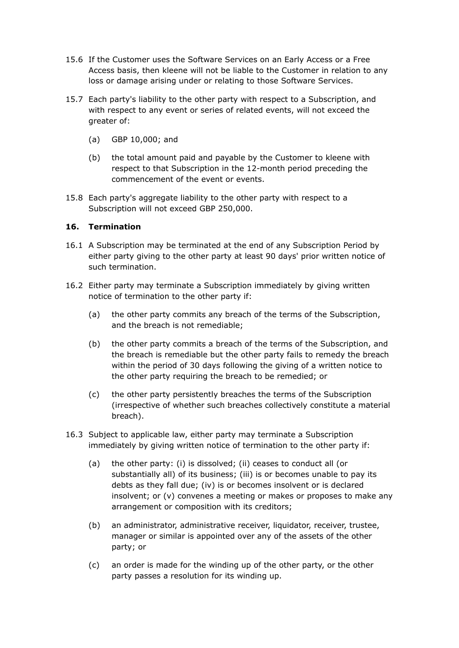- 15.6 If the Customer uses the Software Services on an Early Access or a Free Access basis, then kleene will not be liable to the Customer in relation to any loss or damage arising under or relating to those Software Services.
- 15.7 Each party's liability to the other party with respect to a Subscription, and with respect to any event or series of related events, will not exceed the greater of:
	- (a) GBP 10,000; and
	- (b) the total amount paid and payable by the Customer to kleene with respect to that Subscription in the 12-month period preceding the commencement of the event or events.
- 15.8 Each party's aggregate liability to the other party with respect to a Subscription will not exceed GBP 250,000.

## **16. Termination**

- 16.1 A Subscription may be terminated at the end of any Subscription Period by either party giving to the other party at least 90 days' prior written notice of such termination.
- 16.2 Either party may terminate a Subscription immediately by giving written notice of termination to the other party if:
	- (a) the other party commits any breach of the terms of the Subscription, and the breach is not remediable;
	- (b) the other party commits a breach of the terms of the Subscription, and the breach is remediable but the other party fails to remedy the breach within the period of 30 days following the giving of a written notice to the other party requiring the breach to be remedied; or
	- (c) the other party persistently breaches the terms of the Subscription (irrespective of whether such breaches collectively constitute a material breach).
- 16.3 Subject to applicable law, either party may terminate a Subscription immediately by giving written notice of termination to the other party if:
	- (a) the other party: (i) is dissolved; (ii) ceases to conduct all (or substantially all) of its business; (iii) is or becomes unable to pay its debts as they fall due; (iv) is or becomes insolvent or is declared insolvent; or (v) convenes a meeting or makes or proposes to make any arrangement or composition with its creditors;
	- (b) an administrator, administrative receiver, liquidator, receiver, trustee, manager or similar is appointed over any of the assets of the other party; or
	- (c) an order is made for the winding up of the other party, or the other party passes a resolution for its winding up.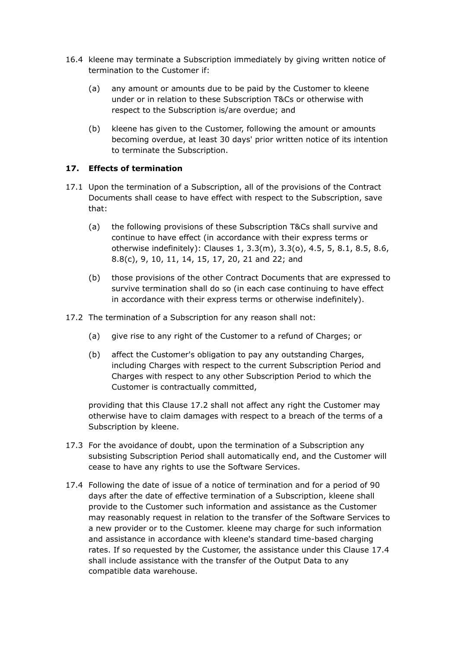- 16.4 kleene may terminate a Subscription immediately by giving written notice of termination to the Customer if:
	- (a) any amount or amounts due to be paid by the Customer to kleene under or in relation to these Subscription T&Cs or otherwise with respect to the Subscription is/are overdue; and
	- (b) kleene has given to the Customer, following the amount or amounts becoming overdue, at least 30 days' prior written notice of its intention to terminate the Subscription.

# **17. Effects of termination**

- 17.1 Upon the termination of a Subscription, all of the provisions of the Contract Documents shall cease to have effect with respect to the Subscription, save that:
	- (a) the following provisions of these Subscription T&Cs shall survive and continue to have effect (in accordance with their express terms or otherwise indefinitely): Clauses 1, 3.3(m), 3.3(o), 4.5, 5, 8.1, 8.5, 8.6, 8.8(c), 9, 10, 11, 14, 15, 17, 20, 21 and 22; and
	- (b) those provisions of the other Contract Documents that are expressed to survive termination shall do so (in each case continuing to have effect in accordance with their express terms or otherwise indefinitely).
- 17.2 The termination of a Subscription for any reason shall not:
	- (a) give rise to any right of the Customer to a refund of Charges; or
	- (b) affect the Customer's obligation to pay any outstanding Charges, including Charges with respect to the current Subscription Period and Charges with respect to any other Subscription Period to which the Customer is contractually committed,

providing that this Clause 17.2 shall not affect any right the Customer may otherwise have to claim damages with respect to a breach of the terms of a Subscription by kleene.

- 17.3 For the avoidance of doubt, upon the termination of a Subscription any subsisting Subscription Period shall automatically end, and the Customer will cease to have any rights to use the Software Services.
- 17.4 Following the date of issue of a notice of termination and for a period of 90 days after the date of effective termination of a Subscription, kleene shall provide to the Customer such information and assistance as the Customer may reasonably request in relation to the transfer of the Software Services to a new provider or to the Customer. kleene may charge for such information and assistance in accordance with kleene's standard time-based charging rates. If so requested by the Customer, the assistance under this Clause 17.4 shall include assistance with the transfer of the Output Data to any compatible data warehouse.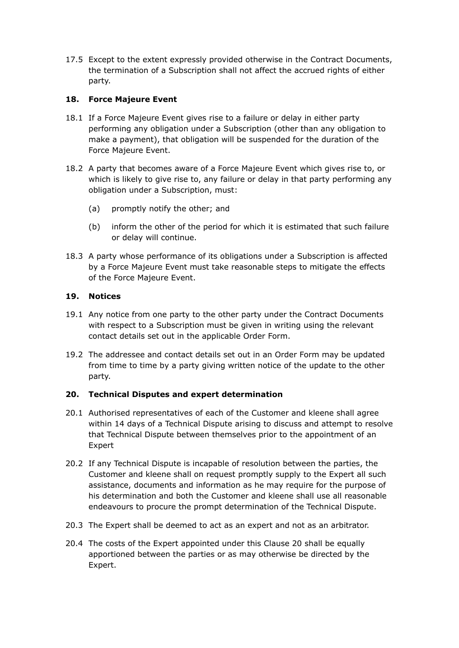17.5 Except to the extent expressly provided otherwise in the Contract Documents, the termination of a Subscription shall not affect the accrued rights of either party.

# **18. Force Majeure Event**

- 18.1 If a Force Majeure Event gives rise to a failure or delay in either party performing any obligation under a Subscription (other than any obligation to make a payment), that obligation will be suspended for the duration of the Force Majeure Event.
- 18.2 A party that becomes aware of a Force Majeure Event which gives rise to, or which is likely to give rise to, any failure or delay in that party performing any obligation under a Subscription, must:
	- (a) promptly notify the other; and
	- (b) inform the other of the period for which it is estimated that such failure or delay will continue.
- 18.3 A party whose performance of its obligations under a Subscription is affected by a Force Majeure Event must take reasonable steps to mitigate the effects of the Force Majeure Event.

# **19. Notices**

- 19.1 Any notice from one party to the other party under the Contract Documents with respect to a Subscription must be given in writing using the relevant contact details set out in the applicable Order Form.
- 19.2 The addressee and contact details set out in an Order Form may be updated from time to time by a party giving written notice of the update to the other party.

# **20. Technical Disputes and expert determination**

- 20.1 Authorised representatives of each of the Customer and kleene shall agree within 14 days of a Technical Dispute arising to discuss and attempt to resolve that Technical Dispute between themselves prior to the appointment of an Expert
- 20.2 If any Technical Dispute is incapable of resolution between the parties, the Customer and kleene shall on request promptly supply to the Expert all such assistance, documents and information as he may require for the purpose of his determination and both the Customer and kleene shall use all reasonable endeavours to procure the prompt determination of the Technical Dispute.
- 20.3 The Expert shall be deemed to act as an expert and not as an arbitrator.
- 20.4 The costs of the Expert appointed under this Clause 20 shall be equally apportioned between the parties or as may otherwise be directed by the Expert.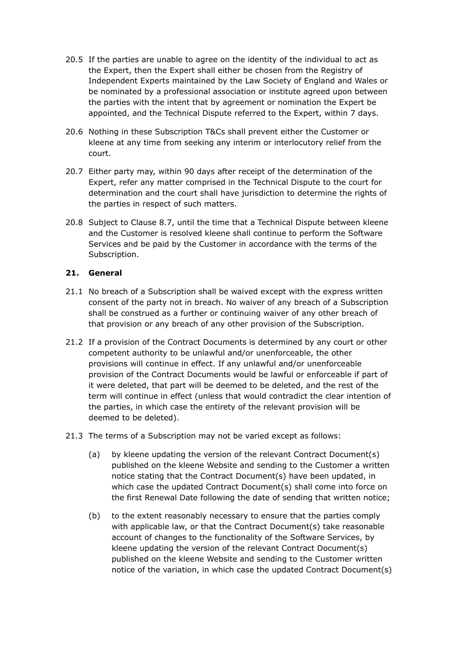- 20.5 If the parties are unable to agree on the identity of the individual to act as the Expert, then the Expert shall either be chosen from the Registry of Independent Experts maintained by the Law Society of England and Wales or be nominated by a professional association or institute agreed upon between the parties with the intent that by agreement or nomination the Expert be appointed, and the Technical Dispute referred to the Expert, within 7 days.
- 20.6 Nothing in these Subscription T&Cs shall prevent either the Customer or kleene at any time from seeking any interim or interlocutory relief from the court.
- 20.7 Either party may, within 90 days after receipt of the determination of the Expert, refer any matter comprised in the Technical Dispute to the court for determination and the court shall have jurisdiction to determine the rights of the parties in respect of such matters.
- 20.8 Subject to Clause 8.7, until the time that a Technical Dispute between kleene and the Customer is resolved kleene shall continue to perform the Software Services and be paid by the Customer in accordance with the terms of the Subscription.

# **21. General**

- 21.1 No breach of a Subscription shall be waived except with the express written consent of the party not in breach. No waiver of any breach of a Subscription shall be construed as a further or continuing waiver of any other breach of that provision or any breach of any other provision of the Subscription.
- 21.2 If a provision of the Contract Documents is determined by any court or other competent authority to be unlawful and/or unenforceable, the other provisions will continue in effect. If any unlawful and/or unenforceable provision of the Contract Documents would be lawful or enforceable if part of it were deleted, that part will be deemed to be deleted, and the rest of the term will continue in effect (unless that would contradict the clear intention of the parties, in which case the entirety of the relevant provision will be deemed to be deleted).
- 21.3 The terms of a Subscription may not be varied except as follows:
	- (a) by kleene updating the version of the relevant Contract Document(s) published on the kleene Website and sending to the Customer a written notice stating that the Contract Document(s) have been updated, in which case the updated Contract Document(s) shall come into force on the first Renewal Date following the date of sending that written notice;
	- (b) to the extent reasonably necessary to ensure that the parties comply with applicable law, or that the Contract Document(s) take reasonable account of changes to the functionality of the Software Services, by kleene updating the version of the relevant Contract Document(s) published on the kleene Website and sending to the Customer written notice of the variation, in which case the updated Contract Document(s)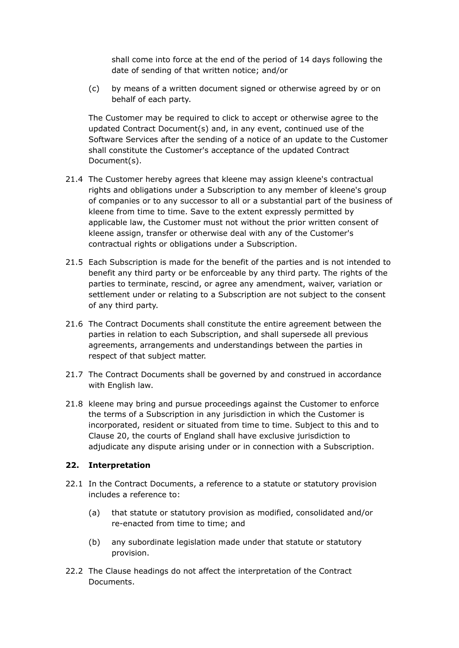shall come into force at the end of the period of 14 days following the date of sending of that written notice; and/or

(c) by means of a written document signed or otherwise agreed by or on behalf of each party.

The Customer may be required to click to accept or otherwise agree to the updated Contract Document(s) and, in any event, continued use of the Software Services after the sending of a notice of an update to the Customer shall constitute the Customer's acceptance of the updated Contract Document(s).

- 21.4 The Customer hereby agrees that kleene may assign kleene's contractual rights and obligations under a Subscription to any member of kleene's group of companies or to any successor to all or a substantial part of the business of kleene from time to time. Save to the extent expressly permitted by applicable law, the Customer must not without the prior written consent of kleene assign, transfer or otherwise deal with any of the Customer's contractual rights or obligations under a Subscription.
- 21.5 Each Subscription is made for the benefit of the parties and is not intended to benefit any third party or be enforceable by any third party. The rights of the parties to terminate, rescind, or agree any amendment, waiver, variation or settlement under or relating to a Subscription are not subject to the consent of any third party.
- 21.6 The Contract Documents shall constitute the entire agreement between the parties in relation to each Subscription, and shall supersede all previous agreements, arrangements and understandings between the parties in respect of that subject matter.
- 21.7 The Contract Documents shall be governed by and construed in accordance with English law.
- 21.8 kleene may bring and pursue proceedings against the Customer to enforce the terms of a Subscription in any jurisdiction in which the Customer is incorporated, resident or situated from time to time. Subject to this and to Clause 20, the courts of England shall have exclusive jurisdiction to adjudicate any dispute arising under or in connection with a Subscription.

# **22. Interpretation**

- 22.1 In the Contract Documents, a reference to a statute or statutory provision includes a reference to:
	- (a) that statute or statutory provision as modified, consolidated and/or re-enacted from time to time; and
	- (b) any subordinate legislation made under that statute or statutory provision.
- 22.2 The Clause headings do not affect the interpretation of the Contract Documents.